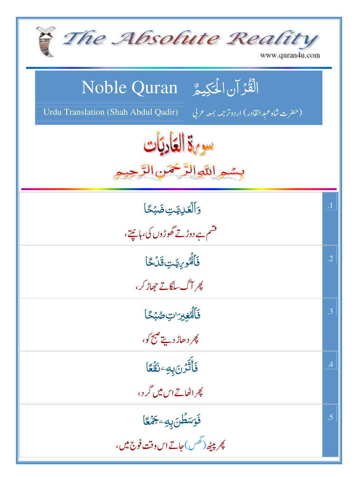| The Absolute Reality<br>www.quran4u.com                                                                                  |                 |  |
|--------------------------------------------------------------------------------------------------------------------------|-----------------|--|
| الْقُرْآنِ الْحَكِيمُ ِ Noble Quran<br>Urdu Translation (Shah Abdul Qadir)<br>(حضرت شاه عبد القادر) اردوتر جمه بمعه عربي |                 |  |
| سورة العَادِيَات<br>بسمع اللجالزَّحْمَنِ الزَّ                                                                           |                 |  |
| <u>وَ</u> ٱلۡعَٰٓٓڵؚؾ <i>ؾ</i> ڞؘڹ <sup>ۣ</sup> ػٵ<br>قشم ہے دوڑتے گھوڑوں کی، ہانیتے،                                    | $\overline{.1}$ |  |
| فَأَلَّكُوبِ يَتِ قَلْكًا<br>پھر آگ ساگا <u>تے</u> جھاڑ کر ،                                                             | $\cdot$ .2      |  |
| فَأَلْهُغِيرَ'تِ صُبْحًا<br><i>پھر دھاڑ ديتے ھبچ کو</i> ،                                                                | .3              |  |
| فَأَثَّرَنَ بِهِ <sup>ء</sup> ِ نَقَّعًا<br>چراٹھاتے اس میں گر د ،                                                       | .4              |  |
| فَوَسَطْنَ بِهِ جَهْقًا<br>پھر پی <sub>ٹھ</sub> (گھس) جاتے اس وقت فوج میں ،                                              | .5              |  |